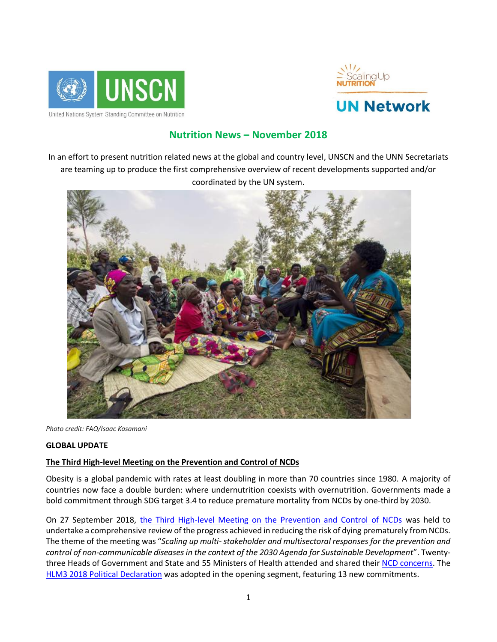



# **Nutrition News – November 2018**

In an effort to present nutrition related news at the global and country level, UNSCN and the UNN Secretariats are teaming up to produce the first comprehensive overview of recent developments supported and/or coordinated by the UN system.



*Photo credit: FAO/Isaac Kasamani*

#### **GLOBAL UPDATE**

#### **The Third High-level Meeting on the Prevention and Control of NCDs**

Obesity is a global pandemic with rates at least doubling in more than 70 countries since 1980. A majority of countries now face a double burden: where undernutrition coexists with overnutrition. Governments made a bold commitment through SDG target 3.4 to reduce premature mortality from NCDs by one-third by 2030.

On 27 September 2018, [the Third High-level Meeting on the Prevention and Control of NCDs](https://www.who.int/ncds/governance/third-un-meeting/en/) was held to undertake a comprehensive review of the progress achieved in reducing the risk of dying prematurely from NCDs. The theme of the meeting was "*Scaling up multi-stakeholder and multisectoral responses for the prevention and control of non-communicable diseases in the context of the 2030 Agenda for Sustainable Development*". Twenty-three Heads of Government and State and 55 Ministers of Health attended and shared their [NCD concerns.](https://emea01.safelinks.protection.outlook.com/?url=http%3A%2F%2Fpapersmart.unmeetings.org%2Fga%2F73rd-session%2Fhigh-level-meeting-on-non-communicable-diseases%2Fstatements%2F&data=02%7C01%7Cshadtha.ali%40wfp.org%7Cd6866eb91c4448e8a0ad08d6432c0718%7C462ad9aed7d94206b87471b1e079776f%7C0%7C0%7C636770253711273196&sdata=fn2XcBKmRE4Qyoq5qHvFyQzpwHnYxt%2Fx3etci4xdkzU%3D&reserved=0) The [HLM3 2018 Political Declaration](http://www.un.org/ga/search/view_doc.asp?symbol=A%2F73%2FL.2&Submit=Search&Lang=E) was adopted in the opening segment, featuring 13 new commitments.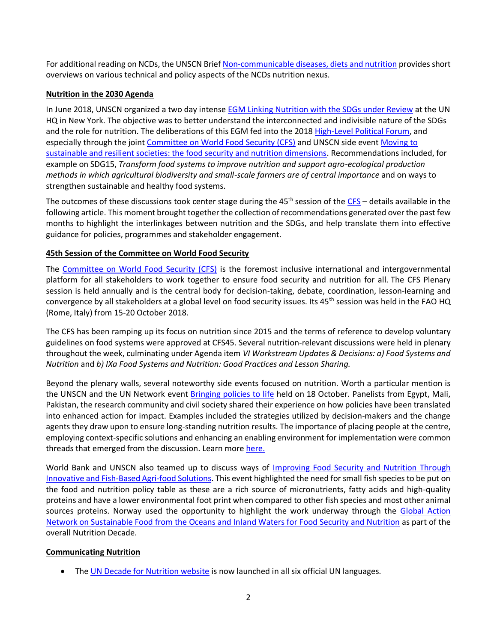For additional reading on NCDs, the UNSCN Brie[f Non-communicable diseases, diets and nutrition](https://www.unscn.org/en/resource-center/UNSCN-Publications?idnews=1831) provides short overviews on various technical and policy aspects of the NCDs nutrition nexus.

# **Nutrition in the 2030 Agenda**

In June 2018, UNSCN organized a two day intense **EGM Linking Nutrition with the SDGs under Review at the UN** HQ in New York. The objective was to better understand the interconnected and indivisible nature of the SDGs and the role for nutrition. The deliberations of this EGM fed into the 2018 [High-Level Political Forum,](https://sustainabledevelopment.un.org/hlpf/2018) and especially through the joint [Committee on World Food Security \(CFS\)](http://www.fao.org/cfs/home/en/) and UNSCN side event Moving to [sustainable and resilient societies: the food security and nutrition dimensions.](https://www.unscn.org/en/news-events/past-events?idnews=1832) Recommendations included, for example on SDG15, *Transform food systems to improve nutrition and support agro-ecological production methods in which agricultural biodiversity and small-scale farmers are of central importance* and on ways to strengthen sustainable and healthy food systems.

The outcomes of these discussions took center stage during the  $45<sup>th</sup>$  session of the [CFS](http://www.fao.org/cfs/home/en/) – details available in the following article. This moment brought together the collection of recommendations generated over the past few months to highlight the interlinkages between nutrition and the SDGs, and help translate them into effective guidance for policies, programmes and stakeholder engagement.

## **45th Session of the Committee on World Food Security**

The [Committee on World Food Security \(CFS\)](http://www.fao.org/cfs/home/en/) is the foremost inclusive international and intergovernmental platform for all stakeholders to work together to ensure food security and nutrition for all. The CFS Plenary session is held annually and is the central body for decision-taking, debate, coordination, lesson-learning and convergence by all stakeholders at a global level on food security issues. Its 45<sup>th</sup> session was held in the FAO HQ (Rome, Italy) from 15-20 October 2018.

The CFS has been ramping up its focus on nutrition since 2015 and the terms of reference to develop voluntary guidelines on food systems were approved at CFS45. Several nutrition-relevant discussions were held in plenary throughout the week, culminating under Agenda item *VI Workstream Updates & Decisions: a) Food Systems and Nutrition* and *b) IXa Food Systems and Nutrition: Good Practices and Lesson Sharing.*

Beyond the plenary walls, several noteworthy side events focused on nutrition. Worth a particular mention is the UNSCN and the UN Network event [Bringing policies to life](https://unscn.us14.list-manage.com/track/click?u=29563f1fe06cff1ab8137ee56&id=86574f8612&e=356bad92fc) held on 18 October. Panelists from Egypt, Mali, Pakistan, the research community and civil society shared their experience on how policies have been translated into enhanced action for impact. Examples included the strategies utilized by decision-makers and the change agents they draw upon to ensure long-standing nutrition results. The importance of placing people at the centre, employing context-specific solutions and enhancing an enabling environment for implementation were common threads that emerged from the discussion. Learn more [here.](https://unscn.us14.list-manage.com/track/click?u=29563f1fe06cff1ab8137ee56&id=86574f8612&e=356bad92fc)

World Bank and UNSCN also teamed up to discuss ways of *Improving Food Security and Nutrition Through* [Innovative and Fish-Based Agri-food Solutions.](http://www.fao.org/cfs/home/plenary/cfs45/side-events/095/en/) This event highlighted the need for small fish species to be put on the food and nutrition policy table as these are a rich source of micronutrients, fatty acids and high-quality proteins and have a lower environmental foot print when compared to other fish species and most other animal sources proteins. Norway used the opportunity to highlight the work underway through the Global Action Network on [Sustainable Food from the Oceans and Inland Waters for Food Security and Nutrition](https://www.unscn.org/en/topics/un-decade-of-action-on-nutrition?idnews=1733) as part of the overall Nutrition Decade.

#### **Communicating Nutrition**

• The [UN Decade for Nutrition website](https://www.un.org/nutrition/home) is now launched in all six official UN languages.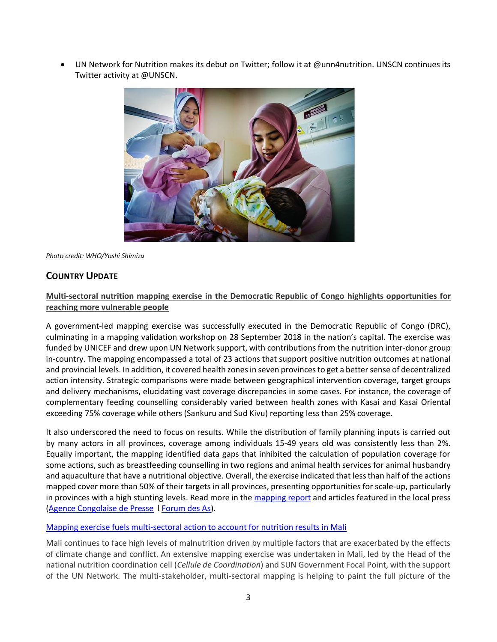UN Network for Nutrition makes its debut on Twitter; follow it at @unn4nutrition. UNSCN continues its Twitter activity at @UNSCN.



*Photo credit: WHO/Yoshi Shimizu*

# **COUNTRY UPDATE**

# **Multi-sectoral nutrition mapping exercise in the Democratic Republic of Congo highlights opportunities for reaching more vulnerable people**

A government-led mapping exercise was successfully executed in the Democratic Republic of Congo (DRC), culminating in a mapping validation workshop on 28 September 2018 in the nation's capital. The exercise was funded by UNICEF and drew upon UN Network support, with contributions from the nutrition inter-donor group in-country. The mapping encompassed a total of 23 actions that support positive nutrition outcomes at national and provincial levels. In addition, it covered health zones in seven provinces to get a better sense of decentralized action intensity. Strategic comparisons were made between geographical intervention coverage, target groups and delivery mechanisms, elucidating vast coverage discrepancies in some cases. For instance, the coverage of complementary feeding counselling considerably varied between health zones with Kasai and Kasai Oriental exceeding 75% coverage while others (Sankuru and Sud Kivu) reporting less than 25% coverage.

It also underscored the need to focus on results. While the distribution of family planning inputs is carried out by many actors in all provinces, coverage among individuals 15-49 years old was consistently less than 2%. Equally important, the mapping identified data gaps that inhibited the calculation of population coverage for some actions, such as breastfeeding counselling in two regions and animal health services for animal husbandry and aquaculture that have a nutritional objective. Overall, the exercise indicated that less than half of the actions mapped cover more than 50% of their targets in all provinces, presenting opportunities for scale-up, particularly in provinces with a high stunting levels. Read more in the [mapping report](https://www.unnetworkforsun.org/sites/default/files/2018-10/DRC%20Mapping%20-%20Final.pdf) and articles featured in the local press [\(Agence Congolaise de Presse](http://acpcongo.com/acp/restitution-a-kinshasa-des-resultats-de-la-cartographie-des-interventions-et-des-intervenants-en-nutrition-en-rdc/) ׀ [Forum des As\)](https://forumdesas.org/spip.php?article17212).

#### [Mapping exercise fuels multi-sectoral action to account for nutrition results](https://www.unnetworkforsun.org/news/mapping-exercise-fuels-multi-sectoral-action-account-nutrition-results) in Mali

Mali continues to face high levels of malnutrition driven by multiple factors that are exacerbated by the effects of climate change and conflict. An extensive mapping exercise was undertaken in Mali, led by the Head of the national nutrition coordination cell (*Cellule de Coordination*) and SUN Government Focal Point, with the support of the UN Network. The multi-stakeholder, multi-sectoral mapping is helping to paint the full picture of the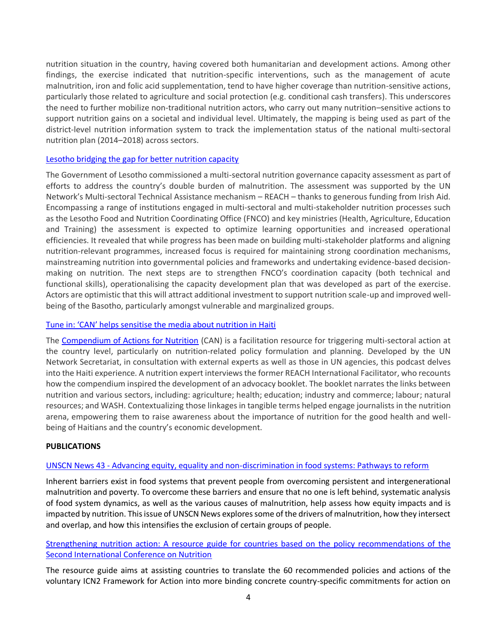nutrition situation in the country, having covered both humanitarian and development actions. Among other findings, the exercise indicated that nutrition-specific interventions, such as the management of acute malnutrition, iron and folic acid supplementation, tend to have higher coverage than nutrition-sensitive actions, particularly those related to agriculture and social protection (e.g. conditional cash transfers). This underscores the need to further mobilize non-traditional nutrition actors, who carry out many nutrition–sensitive actions to support nutrition gains on a societal and individual level. Ultimately, the mapping is being used as part of the district-level nutrition information system to track the implementation status of the national multi-sectoral nutrition plan (2014–2018) across sectors.

#### [Lesotho bridging the gap for better nutrition capacity](https://www.unnetworkforsun.org/news/lesotho-bridging-gap-better-nutrition-capacity)

The Government of Lesotho commissioned a multi-sectoral nutrition governance capacity assessment as part of efforts to address the country's double burden of malnutrition. The assessment was supported by the UN Network's Multi-sectoral Technical Assistance mechanism – REACH – thanks to generous funding from Irish Aid. Encompassing a range of institutions engaged in multi-sectoral and multi-stakeholder nutrition processes such as the Lesotho Food and Nutrition Coordinating Office (FNCO) and key ministries (Health, Agriculture, Education and Training) the assessment is expected to optimize learning opportunities and increased operational efficiencies. It revealed that while progress has been made on building multi-stakeholder platforms and aligning nutrition-relevant programmes, increased focus is required for maintaining strong coordination mechanisms, mainstreaming nutrition into governmental policies and frameworks and undertaking evidence-based decisionmaking on nutrition. The next steps are to strengthen FNCO's coordination capacity (both technical and functional skills), operationalising the capacity development plan that was developed as part of the exercise. Actors are optimistic that this will attract additional investment to support nutrition scale-up and improved wellbeing of the Basotho, particularly amongst vulnerable and marginalized groups.

#### Tune in: 'CAN' helps [sensitise the media about nutrition in Haiti](https://www.ennonline.net/mediahub/podcast/canexperiencehaiti)

The [Compendium of Actions for Nutrition](https://www.unnetworkforsun.org/sites/default/files/documents/files/CAN%20FULL_low%20res-FINAL.pdf) (CAN) is a facilitation resource for triggering multi-sectoral action at the country level, particularly on nutrition-related policy formulation and planning. Developed by the UN Network Secretariat, in consultation with external experts as well as those in UN agencies, this podcast delves into the Haiti experience. A nutrition expert interviews the former REACH International Facilitator, who recounts how the compendium inspired the development of an advocacy booklet. The booklet narrates the links between nutrition and various sectors, including: agriculture; health; education; industry and commerce; labour; natural resources; and WASH. Contextualizing those linkages in tangible terms helped engage journalists in the nutrition arena, empowering them to raise awareness about the importance of nutrition for the good health and wellbeing of Haitians and the country's economic development.

#### **PUBLICATIONS**

#### UNSCN News 43 - [Advancing equity, equality and non-discrimination in food systems: Pathways to reform](https://www.unscn.org/en/Unscn-news?idnews=1838)

Inherent barriers exist in food systems that prevent people from overcoming persistent and intergenerational malnutrition and poverty. To overcome these barriers and ensure that no one is left behind, systematic analysis of food system dynamics, as well as the various causes of malnutrition, help assess how equity impacts and is impacted by nutrition. This issue of UNSCN News explores some of the drivers of malnutrition, how they intersect and overlap, and how this intensifies the exclusion of certain groups of people.

## Strengthening nutrition action: A [resource guide for countries based on the policy recommendations of the](https://www.unscn.org/en/news-events/recent-news?idnews=1851)  [Second International Conference on Nutrition](https://www.unscn.org/en/news-events/recent-news?idnews=1851)

The resource guide aims at assisting countries to translate the 60 recommended policies and actions of the voluntary ICN2 Framework for Action into more binding concrete country-specific commitments for action on